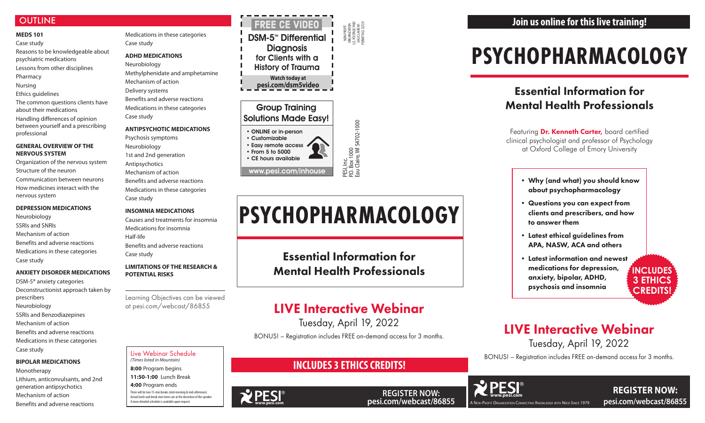## **OUTLINE**

#### **MEDS 101** Case study

Reasons to be knowledgeable about psychiatric medications

- Lessons from other disciplines
- Pharmacy
- Nursing

Ethics guidelines

The common questions clients have about their medications

Handling differences of opinion between yourself and a prescribing professional

#### **GENERAL OVERVIEW OF THE NERVOUS SYSTEM**

Organization of the nervous system Structure of the neuron Communication between neurons How medicines interact with the nervous system

#### **DEPRESSION MEDICATIONS**

Neurobiology SSRIs and SNRIs Mechanism of action Benefits and adverse reactions Medications in these categories Case study

#### **ANXIETY DISORDER MEDICATIONS**

DSM-5® anxiety categories Deconstructionist approach taken by prescribers Neurobiology SSRIs and Benzodiazepines Mechanism of action Benefits and adverse reactions Medications in these categories Case study

#### **BIPOLAR MEDICATIONS**

PESI, Inc.<br>P.O. Box 1000<br>Eau Claire, Wl 54702-1000 P.O. Box 1000 Eau Claire, WI 54702-1000

Monotherapy Lithium, anticonvulsants, and 2nd generation antipsychotics Mechanism of action Benefits and adverse reactions

• Easy remote access • From 5 to 5000

Medications in these categories Case study

#### **ADHD MEDICATIONS**

Neurobiology Methylphenidate and amphetamine Mechanism of action Delivery systems Benefits and adverse reactions Medications in these categories Case study

#### **ANTIPSYCHOTIC MEDICATIONS**

Psychosis symptoms Neurobiology 1st and 2nd generation Antipsychotics Mechanism of action Benefits and adverse reactions Medications in these categories Case study

Featuring **Dr. Kenneth Carter,** board certified clinical psychologist and professor of Psychology at Oxford College of Emory University

#### **INSOMNIA MEDICATIONS**

**REGISTER NOW: pesi.com/webcast/86855**

Causes and treatments for insomnia Medications for insomnia Half-life Benefits and adverse reactions Case study

#### **LIMITATIONS OF THE RESEARCH & POTENTIAL RISKS**

**DSM-5<sup>™</sup> Differential Diagnosis** for Clients with a History of Trauma **Watch today at pesi.com/dsm5video** FREE CE Video

Learning Objectives can be viewed at pesi.com/webcast/86855

# **PSYCHOPHARMACOLOGY**

# Essential Information for Mental Health Professionals

NON-PROFIT ORGANIZATION U.S. POSTAGE PAID EAU CLAIRE WI PERMIT NO. 32729

### Group Training Solutions Made Easy!

• ONLINE or in-person

**WPESI** 

• Customizable • CE hours available www.pesi.com/inhouse

#### Live Webinar Schedule *(Times listed in Mountain)*

**8:00** Program begins

**11:50-1:00** Lunch Break

**4:00** Program ends

There will be two 15-min breaks (mid-morning & mid-afternoon). Actual lunch and break start times are at the discretion of the speaker. A more detailed schedule is available upon request.

- Why (and what) you should know about psychopharmacology
- Questions you can expect from clients and prescribers, and how to answer them
- Latest ethical guidelines from APA, NASW, ACA and others
- Latest information and newest medications for depression, anxiety, bipolar, ADHD, psychosis and insomnia



# LIVE Interactive Webinar

Tuesday, April 19, 2022



BONUS! – Registration includes FREE on-demand access for 3 months.



# **INCLUDES 3 ETHICS CREDITS!**



Essential Information for Mental Health Professionals

# LIVE Interactive Webinar

Tuesday, April 19, 2022

BONUS! – Registration includes FREE on-demand access for 3 months.